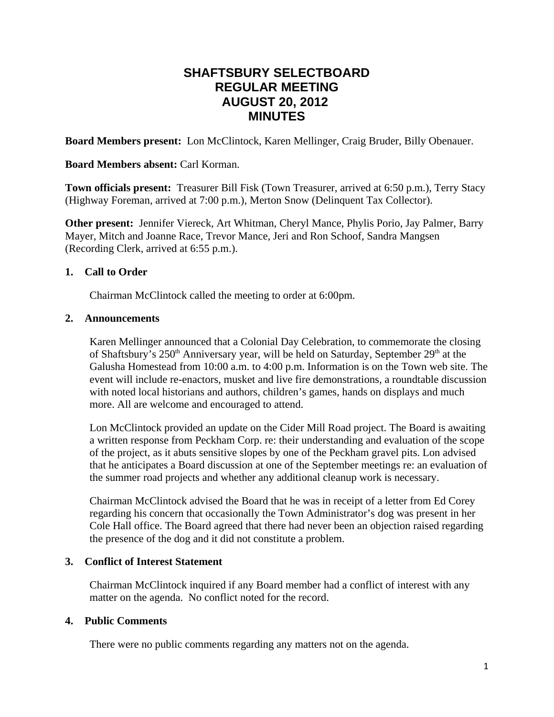# **SHAFTSBURY SELECTBOARD REGULAR MEETING AUGUST 20, 2012 MINUTES**

**Board Members present:** Lon McClintock, Karen Mellinger, Craig Bruder, Billy Obenauer.

## **Board Members absent:** Carl Korman.

**Town officials present:** Treasurer Bill Fisk (Town Treasurer, arrived at 6:50 p.m.), Terry Stacy (Highway Foreman, arrived at 7:00 p.m.), Merton Snow (Delinquent Tax Collector).

**Other present:** Jennifer Viereck, Art Whitman, Cheryl Mance, Phylis Porio, Jay Palmer, Barry Mayer, Mitch and Joanne Race, Trevor Mance, Jeri and Ron Schoof, Sandra Mangsen (Recording Clerk, arrived at 6:55 p.m.).

## **1. Call to Order**

Chairman McClintock called the meeting to order at 6:00pm.

#### **2. Announcements**

Karen Mellinger announced that a Colonial Day Celebration, to commemorate the closing of Shaftsbury's 250<sup>th</sup> Anniversary year, will be held on Saturday, September 29<sup>th</sup> at the Galusha Homestead from 10:00 a.m. to 4:00 p.m. Information is on the Town web site. The event will include re-enactors, musket and live fire demonstrations, a roundtable discussion with noted local historians and authors, children's games, hands on displays and much more. All are welcome and encouraged to attend.

Lon McClintock provided an update on the Cider Mill Road project. The Board is awaiting a written response from Peckham Corp. re: their understanding and evaluation of the scope of the project, as it abuts sensitive slopes by one of the Peckham gravel pits. Lon advised that he anticipates a Board discussion at one of the September meetings re: an evaluation of the summer road projects and whether any additional cleanup work is necessary.

Chairman McClintock advised the Board that he was in receipt of a letter from Ed Corey regarding his concern that occasionally the Town Administrator's dog was present in her Cole Hall office. The Board agreed that there had never been an objection raised regarding the presence of the dog and it did not constitute a problem.

## **3. Conflict of Interest Statement**

Chairman McClintock inquired if any Board member had a conflict of interest with any matter on the agenda. No conflict noted for the record.

## **4. Public Comments**

There were no public comments regarding any matters not on the agenda.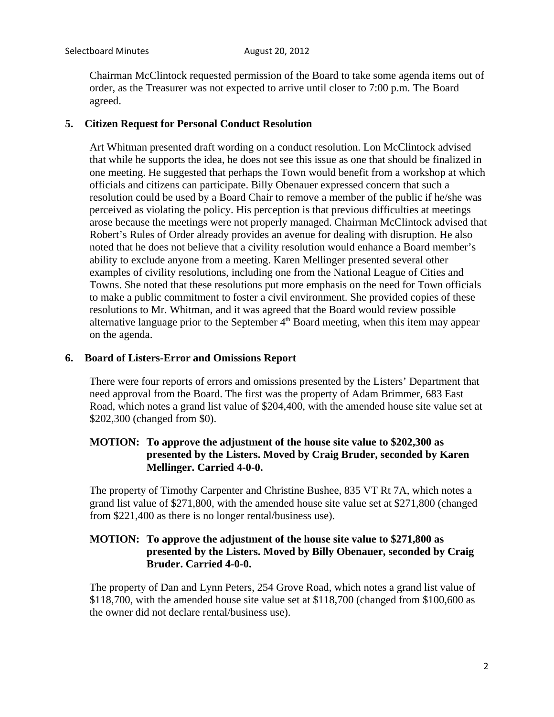Chairman McClintock requested permission of the Board to take some agenda items out of order, as the Treasurer was not expected to arrive until closer to 7:00 p.m. The Board agreed.

#### **5. Citizen Request for Personal Conduct Resolution**

Art Whitman presented draft wording on a conduct resolution. Lon McClintock advised that while he supports the idea, he does not see this issue as one that should be finalized in one meeting. He suggested that perhaps the Town would benefit from a workshop at which officials and citizens can participate. Billy Obenauer expressed concern that such a resolution could be used by a Board Chair to remove a member of the public if he/she was perceived as violating the policy. His perception is that previous difficulties at meetings arose because the meetings were not properly managed. Chairman McClintock advised that Robert's Rules of Order already provides an avenue for dealing with disruption. He also noted that he does not believe that a civility resolution would enhance a Board member's ability to exclude anyone from a meeting. Karen Mellinger presented several other examples of civility resolutions, including one from the National League of Cities and Towns. She noted that these resolutions put more emphasis on the need for Town officials to make a public commitment to foster a civil environment. She provided copies of these resolutions to Mr. Whitman, and it was agreed that the Board would review possible alternative language prior to the September  $4<sup>th</sup>$  Board meeting, when this item may appear on the agenda.

#### **6. Board of Listers-Error and Omissions Report**

There were four reports of errors and omissions presented by the Listers' Department that need approval from the Board. The first was the property of Adam Brimmer, 683 East Road, which notes a grand list value of \$204,400, with the amended house site value set at \$202,300 (changed from \$0).

### **MOTION: To approve the adjustment of the house site value to \$202,300 as presented by the Listers. Moved by Craig Bruder, seconded by Karen Mellinger. Carried 4-0-0.**

The property of Timothy Carpenter and Christine Bushee, 835 VT Rt 7A, which notes a grand list value of \$271,800, with the amended house site value set at \$271,800 (changed from \$221,400 as there is no longer rental/business use).

### **MOTION: To approve the adjustment of the house site value to \$271,800 as presented by the Listers. Moved by Billy Obenauer, seconded by Craig Bruder. Carried 4-0-0.**

The property of Dan and Lynn Peters, 254 Grove Road, which notes a grand list value of \$118,700, with the amended house site value set at \$118,700 (changed from \$100,600 as the owner did not declare rental/business use).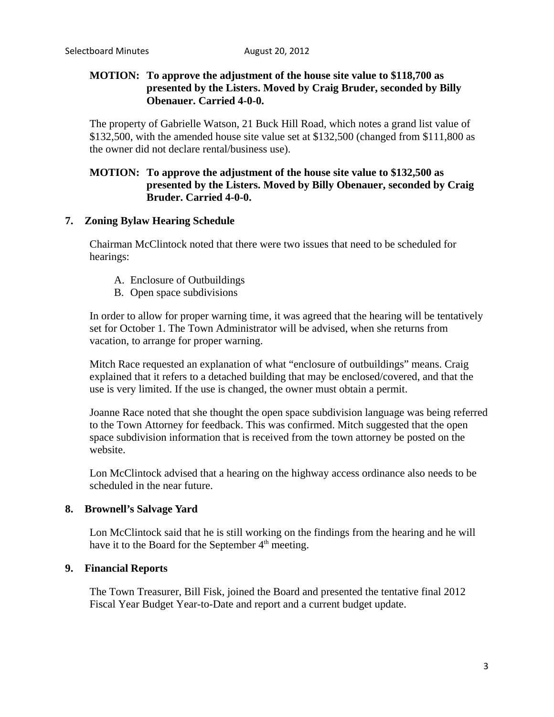## **MOTION: To approve the adjustment of the house site value to \$118,700 as presented by the Listers. Moved by Craig Bruder, seconded by Billy Obenauer. Carried 4-0-0.**

The property of Gabrielle Watson, 21 Buck Hill Road, which notes a grand list value of \$132,500, with the amended house site value set at \$132,500 (changed from \$111,800 as the owner did not declare rental/business use).

## **MOTION: To approve the adjustment of the house site value to \$132,500 as presented by the Listers. Moved by Billy Obenauer, seconded by Craig Bruder. Carried 4-0-0.**

## **7. Zoning Bylaw Hearing Schedule**

Chairman McClintock noted that there were two issues that need to be scheduled for hearings:

- A. Enclosure of Outbuildings
- B. Open space subdivisions

In order to allow for proper warning time, it was agreed that the hearing will be tentatively set for October 1. The Town Administrator will be advised, when she returns from vacation, to arrange for proper warning.

Mitch Race requested an explanation of what "enclosure of outbuildings" means. Craig explained that it refers to a detached building that may be enclosed/covered, and that the use is very limited. If the use is changed, the owner must obtain a permit.

Joanne Race noted that she thought the open space subdivision language was being referred to the Town Attorney for feedback. This was confirmed. Mitch suggested that the open space subdivision information that is received from the town attorney be posted on the website.

Lon McClintock advised that a hearing on the highway access ordinance also needs to be scheduled in the near future.

#### **8. Brownell's Salvage Yard**

Lon McClintock said that he is still working on the findings from the hearing and he will have it to the Board for the September 4<sup>th</sup> meeting.

#### **9. Financial Reports**

The Town Treasurer, Bill Fisk, joined the Board and presented the tentative final 2012 Fiscal Year Budget Year-to-Date and report and a current budget update.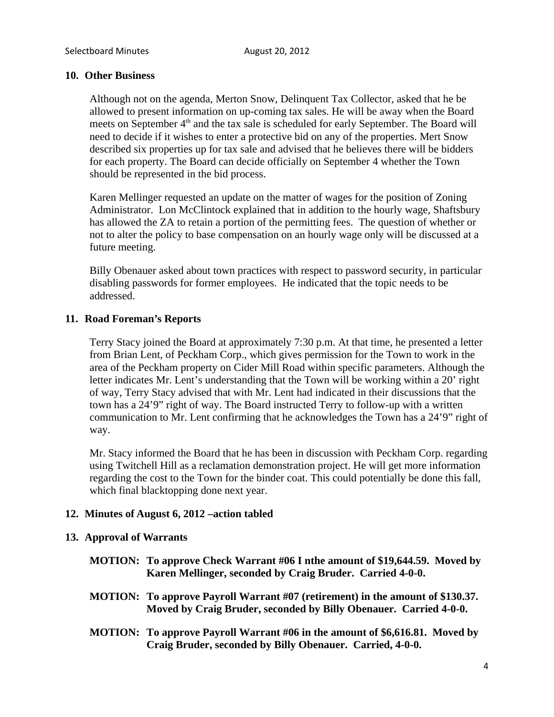#### **10. Other Business**

Although not on the agenda, Merton Snow, Delinquent Tax Collector, asked that he be allowed to present information on up-coming tax sales. He will be away when the Board meets on September  $4<sup>th</sup>$  and the tax sale is scheduled for early September. The Board will need to decide if it wishes to enter a protective bid on any of the properties. Mert Snow described six properties up for tax sale and advised that he believes there will be bidders for each property. The Board can decide officially on September 4 whether the Town should be represented in the bid process.

Karen Mellinger requested an update on the matter of wages for the position of Zoning Administrator. Lon McClintock explained that in addition to the hourly wage, Shaftsbury has allowed the ZA to retain a portion of the permitting fees. The question of whether or not to alter the policy to base compensation on an hourly wage only will be discussed at a future meeting.

Billy Obenauer asked about town practices with respect to password security, in particular disabling passwords for former employees. He indicated that the topic needs to be addressed.

#### **11. Road Foreman's Reports**

Terry Stacy joined the Board at approximately 7:30 p.m. At that time, he presented a letter from Brian Lent, of Peckham Corp., which gives permission for the Town to work in the area of the Peckham property on Cider Mill Road within specific parameters. Although the letter indicates Mr. Lent's understanding that the Town will be working within a 20' right of way, Terry Stacy advised that with Mr. Lent had indicated in their discussions that the town has a 24'9" right of way. The Board instructed Terry to follow-up with a written communication to Mr. Lent confirming that he acknowledges the Town has a 24'9" right of way.

Mr. Stacy informed the Board that he has been in discussion with Peckham Corp. regarding using Twitchell Hill as a reclamation demonstration project. He will get more information regarding the cost to the Town for the binder coat. This could potentially be done this fall, which final blacktopping done next year.

## **12. Minutes of August 6, 2012 –action tabled**

#### **13. Approval of Warrants**

- **MOTION: To approve Check Warrant #06 I nthe amount of \$19,644.59. Moved by Karen Mellinger, seconded by Craig Bruder. Carried 4-0-0.**
- **MOTION: To approve Payroll Warrant #07 (retirement) in the amount of \$130.37. Moved by Craig Bruder, seconded by Billy Obenauer. Carried 4-0-0.**
- **MOTION: To approve Payroll Warrant #06 in the amount of \$6,616.81. Moved by Craig Bruder, seconded by Billy Obenauer. Carried, 4-0-0.**